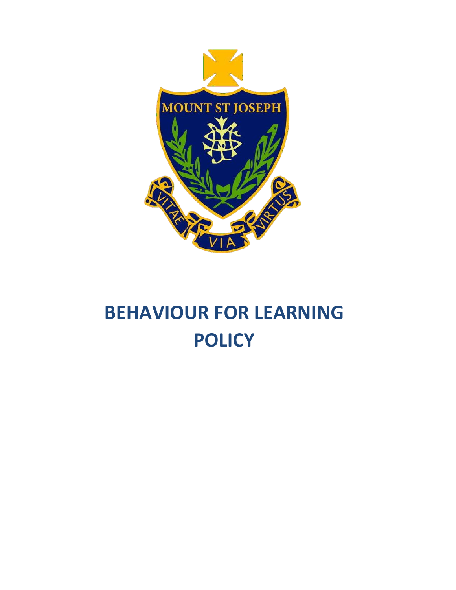

# **BEHAVIOUR FOR LEARNING POLICY**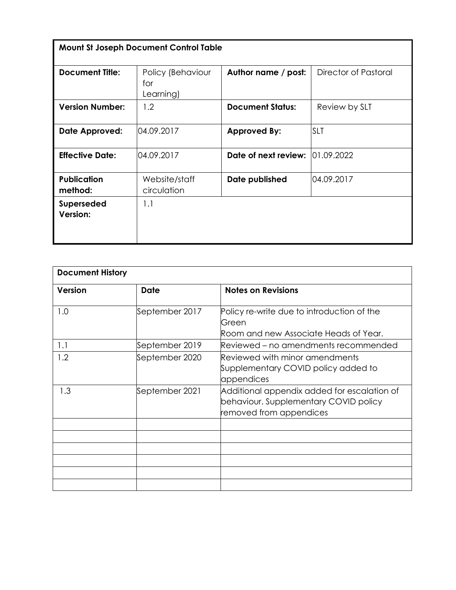| <b>Mount St Joseph Document Control Table</b> |                                       |                         |                      |  |  |
|-----------------------------------------------|---------------------------------------|-------------------------|----------------------|--|--|
| <b>Document Title:</b>                        | Policy (Behaviour<br>for<br>Learning) | Author name / post:     | Director of Pastoral |  |  |
| <b>Version Number:</b>                        | 1.2                                   | <b>Document Status:</b> | Review by SLT        |  |  |
| Date Approved:                                | 04.09.2017                            | <b>Approved By:</b>     | <b>SLT</b>           |  |  |
| <b>Effective Date:</b>                        | 04.09.2017                            | Date of next review:    | 01.09.2022           |  |  |
| <b>Publication</b><br>method:                 | Website/staff<br>circulation          | Date published          | 04.09.2017           |  |  |
| <b>Superseded</b><br>Version:                 | 1.1                                   |                         |                      |  |  |

| <b>Document History</b> |                |                                                                                                                 |  |  |
|-------------------------|----------------|-----------------------------------------------------------------------------------------------------------------|--|--|
| <b>Version</b>          | Date           | Notes on Revisions                                                                                              |  |  |
| 1.0                     | September 2017 | Policy re-write due to introduction of the<br>Green<br>Room and new Associate Heads of Year.                    |  |  |
| 1.1                     | September 2019 | Reviewed – no amendments recommended                                                                            |  |  |
| 1.2                     | September 2020 | Reviewed with minor amendments<br>Supplementary COVID policy added to<br>appendices                             |  |  |
| 1.3                     | September 2021 | Additional appendix added for escalation of<br>behaviour. Supplementary COVID policy<br>removed from appendices |  |  |
|                         |                |                                                                                                                 |  |  |
|                         |                |                                                                                                                 |  |  |
|                         |                |                                                                                                                 |  |  |
|                         |                |                                                                                                                 |  |  |
|                         |                |                                                                                                                 |  |  |
|                         |                |                                                                                                                 |  |  |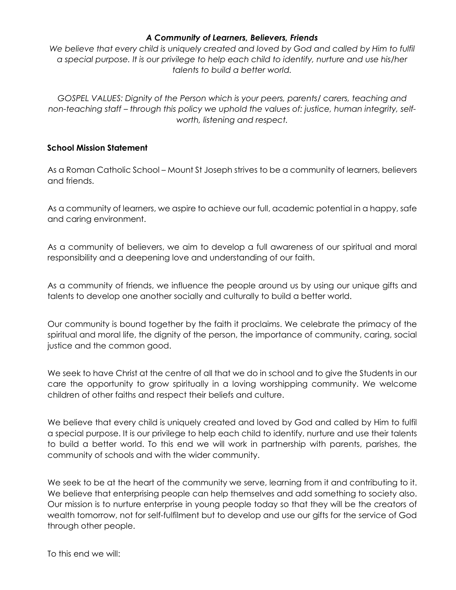#### *A Community of Learners, Believers, Friends*

We believe that every child is uniquely created and loved by God and called by Him to fulfil *a special purpose. It is our privilege to help each child to identify, nurture and use his/her talents to build a better world.* 

*GOSPEL VALUES: Dignity of the Person which is your peers, parents/ carers, teaching and non-teaching staff – through this policy we uphold the values of: justice, human integrity, selfworth, listening and respect.* 

#### **School Mission Statement**

As a Roman Catholic School – Mount St Joseph strives to be a community of learners, believers and friends.

As a community of learners, we aspire to achieve our full, academic potential in a happy, safe and caring environment.

As a community of believers, we aim to develop a full awareness of our spiritual and moral responsibility and a deepening love and understanding of our faith.

As a community of friends, we influence the people around us by using our unique gifts and talents to develop one another socially and culturally to build a better world.

Our community is bound together by the faith it proclaims. We celebrate the primacy of the spiritual and moral life, the dignity of the person, the importance of community, caring, social justice and the common good.

We seek to have Christ at the centre of all that we do in school and to give the Students in our care the opportunity to grow spiritually in a loving worshipping community. We welcome children of other faiths and respect their beliefs and culture.

We believe that every child is uniquely created and loved by God and called by Him to fulfil a special purpose. It is our privilege to help each child to identify, nurture and use their talents to build a better world. To this end we will work in partnership with parents, parishes, the community of schools and with the wider community.

We seek to be at the heart of the community we serve, learning from it and contributing to it. We believe that enterprising people can help themselves and add something to society also. Our mission is to nurture enterprise in young people today so that they will be the creators of wealth tomorrow, not for self-fulfilment but to develop and use our gifts for the service of God through other people.

To this end we will: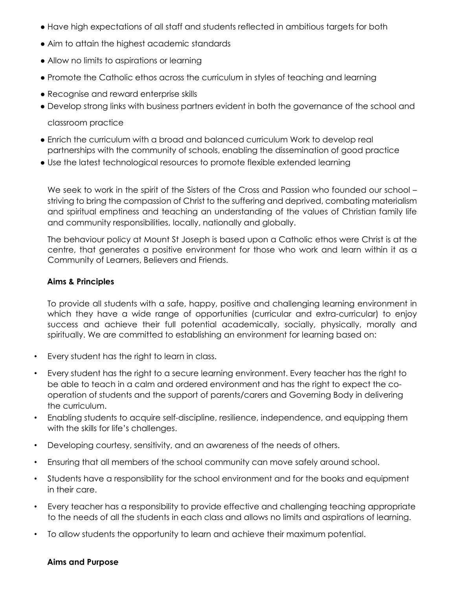- Have high expectations of all staff and students reflected in ambitious targets for both
- Aim to attain the highest academic standards
- Allow no limits to aspirations or learning
- Promote the Catholic ethos across the curriculum in styles of teaching and learning
- Recognise and reward enterprise skills
- Develop strong links with business partners evident in both the governance of the school and

classroom practice

- Enrich the curriculum with a broad and balanced curriculum Work to develop real partnerships with the community of schools, enabling the dissemination of good practice
- Use the latest technological resources to promote flexible extended learning

We seek to work in the spirit of the Sisters of the Cross and Passion who founded our school – striving to bring the compassion of Christ to the suffering and deprived, combating materialism and spiritual emptiness and teaching an understanding of the values of Christian family life and community responsibilities, locally, nationally and globally.

The behaviour policy at Mount St Joseph is based upon a Catholic ethos were Christ is at the centre, that generates a positive environment for those who work and learn within it as a Community of Learners, Believers and Friends.

#### **Aims & Principles**

To provide all students with a safe, happy, positive and challenging learning environment in which they have a wide range of opportunities (curricular and extra-curricular) to enjoy success and achieve their full potential academically, socially, physically, morally and spiritually. We are committed to establishing an environment for learning based on:

- Every student has the right to learn in class.
- Every student has the right to a secure learning environment. Every teacher has the right to be able to teach in a calm and ordered environment and has the right to expect the cooperation of students and the support of parents/carers and Governing Body in delivering the curriculum.
- Enabling students to acquire self-discipline, resilience, independence, and equipping them with the skills for life's challenges.
- Developing courtesy, sensitivity, and an awareness of the needs of others.
- Ensuring that all members of the school community can move safely around school.
- Students have a responsibility for the school environment and for the books and equipment in their care.
- Every teacher has a responsibility to provide effective and challenging teaching appropriate to the needs of all the students in each class and allows no limits and aspirations of learning.
- To allow students the opportunity to learn and achieve their maximum potential.

#### **Aims and Purpose**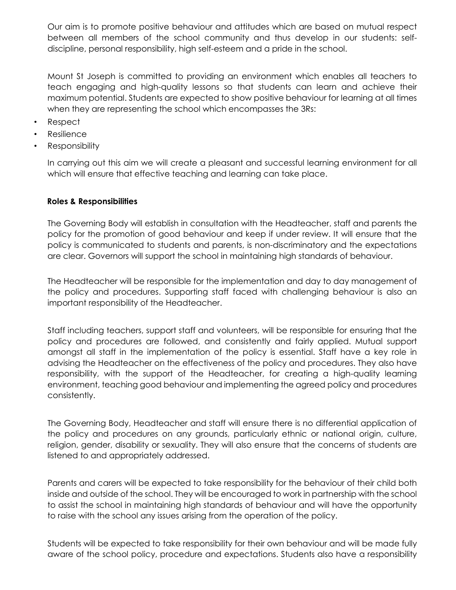Our aim is to promote positive behaviour and attitudes which are based on mutual respect between all members of the school community and thus develop in our students: selfdiscipline, personal responsibility, high self-esteem and a pride in the school.

Mount St Joseph is committed to providing an environment which enables all teachers to teach engaging and high-quality lessons so that students can learn and achieve their maximum potential. Students are expected to show positive behaviour for learning at all times when they are representing the school which encompasses the 3Rs:

- Respect
- **Resilience**
- Responsibility

In carrying out this aim we will create a pleasant and successful learning environment for all which will ensure that effective teaching and learning can take place.

## **Roles & Responsibilities**

The Governing Body will establish in consultation with the Headteacher, staff and parents the policy for the promotion of good behaviour and keep if under review. It will ensure that the policy is communicated to students and parents, is non-discriminatory and the expectations are clear. Governors will support the school in maintaining high standards of behaviour.

The Headteacher will be responsible for the implementation and day to day management of the policy and procedures. Supporting staff faced with challenging behaviour is also an important responsibility of the Headteacher.

Staff including teachers, support staff and volunteers, will be responsible for ensuring that the policy and procedures are followed, and consistently and fairly applied. Mutual support amongst all staff in the implementation of the policy is essential. Staff have a key role in advising the Headteacher on the effectiveness of the policy and procedures. They also have responsibility, with the support of the Headteacher, for creating a high-quality learning environment, teaching good behaviour and implementing the agreed policy and procedures consistently.

The Governing Body, Headteacher and staff will ensure there is no differential application of the policy and procedures on any grounds, particularly ethnic or national origin, culture, religion, gender, disability or sexuality. They will also ensure that the concerns of students are listened to and appropriately addressed.

Parents and carers will be expected to take responsibility for the behaviour of their child both inside and outside of the school. They will be encouraged to work in partnership with the school to assist the school in maintaining high standards of behaviour and will have the opportunity to raise with the school any issues arising from the operation of the policy.

Students will be expected to take responsibility for their own behaviour and will be made fully aware of the school policy, procedure and expectations. Students also have a responsibility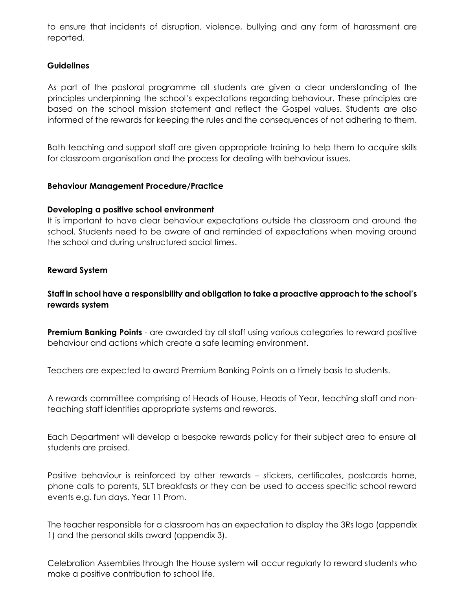to ensure that incidents of disruption, violence, bullying and any form of harassment are reported.

## **Guidelines**

As part of the pastoral programme all students are given a clear understanding of the principles underpinning the school's expectations regarding behaviour. These principles are based on the school mission statement and reflect the Gospel values. Students are also informed of the rewards for keeping the rules and the consequences of not adhering to them.

Both teaching and support staff are given appropriate training to help them to acquire skills for classroom organisation and the process for dealing with behaviour issues.

#### **Behaviour Management Procedure/Practice**

#### **Developing a positive school environment**

It is important to have clear behaviour expectations outside the classroom and around the school. Students need to be aware of and reminded of expectations when moving around the school and during unstructured social times.

#### **Reward System**

## **Staff in school have a responsibility and obligation to take a proactive approach to the school's rewards system**

**Premium Banking Points** - are awarded by all staff using various categories to reward positive behaviour and actions which create a safe learning environment.

Teachers are expected to award Premium Banking Points on a timely basis to students.

A rewards committee comprising of Heads of House, Heads of Year, teaching staff and nonteaching staff identifies appropriate systems and rewards.

Each Department will develop a bespoke rewards policy for their subject area to ensure all students are praised.

Positive behaviour is reinforced by other rewards – stickers, certificates, postcards home, phone calls to parents, SLT breakfasts or they can be used to access specific school reward events e.g. fun days, Year 11 Prom.

The teacher responsible for a classroom has an expectation to display the 3Rs logo (appendix 1) and the personal skills award (appendix 3).

Celebration Assemblies through the House system will occur regularly to reward students who make a positive contribution to school life.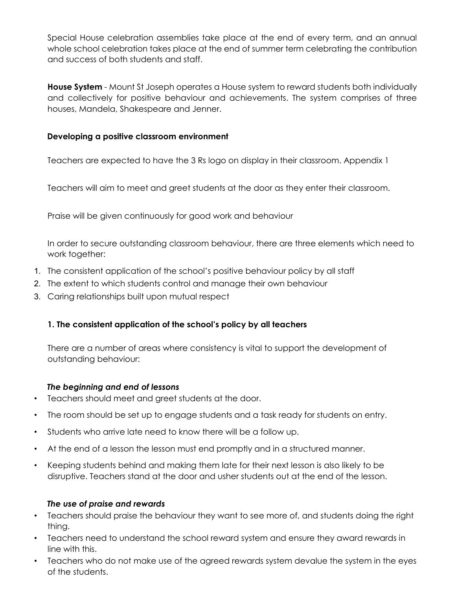Special House celebration assemblies take place at the end of every term, and an annual whole school celebration takes place at the end of summer term celebrating the contribution and success of both students and staff.

**House System** - Mount St Joseph operates a House system to reward students both individually and collectively for positive behaviour and achievements. The system comprises of three houses, Mandela, Shakespeare and Jenner.

## **Developing a positive classroom environment**

Teachers are expected to have the 3 Rs logo on display in their classroom. Appendix 1

Teachers will aim to meet and greet students at the door as they enter their classroom.

Praise will be given continuously for good work and behaviour

In order to secure outstanding classroom behaviour, there are three elements which need to work together:

- 1. The consistent application of the school's positive behaviour policy by all staff
- 2. The extent to which students control and manage their own behaviour
- 3. Caring relationships built upon mutual respect

## **1. The consistent application of the school's policy by all teachers**

There are a number of areas where consistency is vital to support the development of outstanding behaviour:

## *The beginning and end of lessons*

- Teachers should meet and greet students at the door.
- The room should be set up to engage students and a task ready for students on entry.
- Students who arrive late need to know there will be a follow up.
- At the end of a lesson the lesson must end promptly and in a structured manner.
- Keeping students behind and making them late for their next lesson is also likely to be disruptive. Teachers stand at the door and usher students out at the end of the lesson.

## *The use of praise and rewards*

- Teachers should praise the behaviour they want to see more of, and students doing the right thing.
- Teachers need to understand the school reward system and ensure they award rewards in line with this.
- Teachers who do not make use of the agreed rewards system devalue the system in the eyes of the students.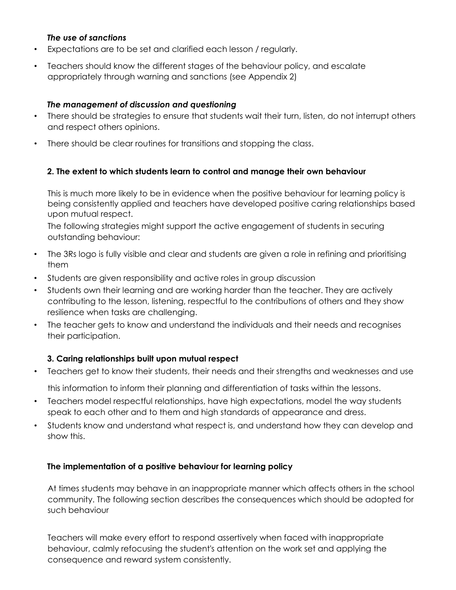#### *The use of sanctions*

- Expectations are to be set and clarified each lesson / regularly.
- Teachers should know the different stages of the behaviour policy, and escalate appropriately through warning and sanctions (see Appendix 2)

## *The management of discussion and questioning*

- There should be strategies to ensure that students wait their turn, listen, do not interrupt others and respect others opinions.
- There should be clear routines for transitions and stopping the class.

## **2. The extent to which students learn to control and manage their own behaviour**

This is much more likely to be in evidence when the positive behaviour for learning policy is being consistently applied and teachers have developed positive caring relationships based upon mutual respect.

The following strategies might support the active engagement of students in securing outstanding behaviour:

- The 3Rs logo is fully visible and clear and students are given a role in refining and prioritising them
- Students are given responsibility and active roles in group discussion
- Students own their learning and are working harder than the teacher. They are actively contributing to the lesson, listening, respectful to the contributions of others and they show resilience when tasks are challenging.
- The teacher gets to know and understand the individuals and their needs and recognises their participation.

## **3. Caring relationships built upon mutual respect**

• Teachers get to know their students, their needs and their strengths and weaknesses and use

this information to inform their planning and differentiation of tasks within the lessons.

- Teachers model respectful relationships, have high expectations, model the way students speak to each other and to them and high standards of appearance and dress.
- Students know and understand what respect is, and understand how they can develop and show this.

## **The implementation of a positive behaviour for learning policy**

At times students may behave in an inappropriate manner which affects others in the school community. The following section describes the consequences which should be adopted for such behaviour

Teachers will make every effort to respond assertively when faced with inappropriate behaviour, calmly refocusing the student's attention on the work set and applying the consequence and reward system consistently.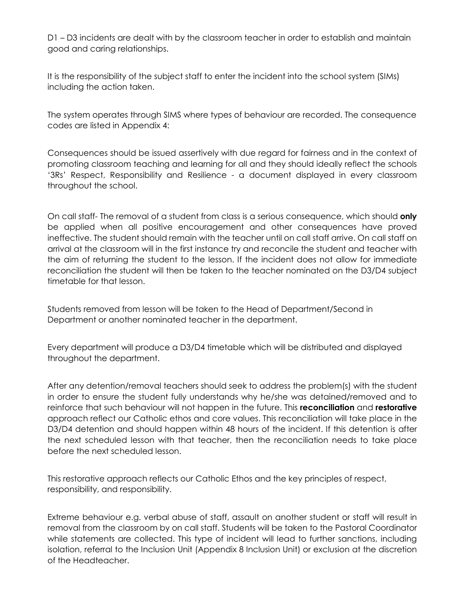D1 – D3 incidents are dealt with by the classroom teacher in order to establish and maintain good and caring relationships.

It is the responsibility of the subject staff to enter the incident into the school system (SIMs) including the action taken.

The system operates through SIMS where types of behaviour are recorded. The consequence codes are listed in Appendix 4:

Consequences should be issued assertively with due regard for fairness and in the context of promoting classroom teaching and learning for all and they should ideally reflect the schools '3Rs' Respect, Responsibility and Resilience - a document displayed in every classroom throughout the school.

On call staff- The removal of a student from class is a serious consequence, which should **only**  be applied when all positive encouragement and other consequences have proved ineffective. The student should remain with the teacher until on call staff arrive. On call staff on arrival at the classroom will in the first instance try and reconcile the student and teacher with the aim of returning the student to the lesson. If the incident does not allow for immediate reconciliation the student will then be taken to the teacher nominated on the D3/D4 subject timetable for that lesson.

Students removed from lesson will be taken to the Head of Department/Second in Department or another nominated teacher in the department.

Every department will produce a D3/D4 timetable which will be distributed and displayed throughout the department.

After any detention/removal teachers should seek to address the problem(s) with the student in order to ensure the student fully understands why he/she was detained/removed and to reinforce that such behaviour will not happen in the future. This **reconciliation** and **restorative**  approach reflect our Catholic ethos and core values. This reconciliation will take place in the D3/D4 detention and should happen within 48 hours of the incident. If this detention is after the next scheduled lesson with that teacher, then the reconciliation needs to take place before the next scheduled lesson.

This restorative approach reflects our Catholic Ethos and the key principles of respect, responsibility, and responsibility.

Extreme behaviour e.g. verbal abuse of staff, assault on another student or staff will result in removal from the classroom by on call staff. Students will be taken to the Pastoral Coordinator while statements are collected. This type of incident will lead to further sanctions, including isolation, referral to the Inclusion Unit (Appendix 8 Inclusion Unit) or exclusion at the discretion of the Headteacher.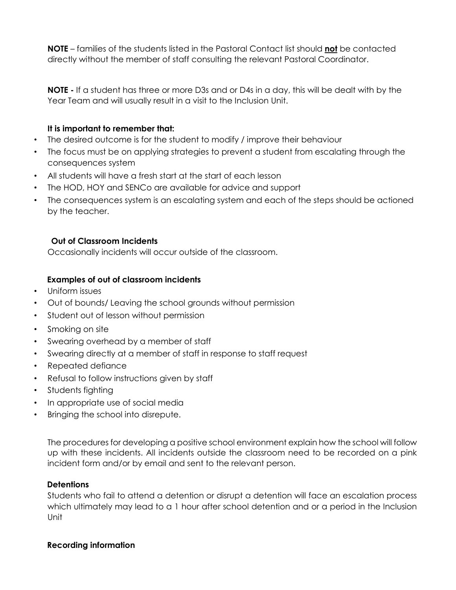**NOTE** – families of the students listed in the Pastoral Contact list should **not** be contacted directly without the member of staff consulting the relevant Pastoral Coordinator.

**NOTE -** If a student has three or more D3s and or D4s in a day, this will be dealt with by the Year Team and will usually result in a visit to the Inclusion Unit.

## **It is important to remember that:**

- The desired outcome is for the student to modify / improve their behaviour
- The focus must be on applying strategies to prevent a student from escalating through the consequences system
- All students will have a fresh start at the start of each lesson
- The HOD, HOY and SENCo are available for advice and support
- The consequences system is an escalating system and each of the steps should be actioned by the teacher.

## **Out of Classroom Incidents**

Occasionally incidents will occur outside of the classroom.

## **Examples of out of classroom incidents**

- Uniform issues
- Out of bounds/ Leaving the school grounds without permission
- Student out of lesson without permission
- Smoking on site
- Swearing overhead by a member of staff
- Swearing directly at a member of staff in response to staff request
- Repeated defiance
- Refusal to follow instructions given by staff
- Students fighting
- In appropriate use of social media
- Bringing the school into disrepute.

The procedures for developing a positive school environment explain how the school will follow up with these incidents. All incidents outside the classroom need to be recorded on a pink incident form and/or by email and sent to the relevant person.

## **Detentions**

Students who fail to attend a detention or disrupt a detention will face an escalation process which ultimately may lead to a 1 hour after school detention and or a period in the Inclusion Unit

## **Recording information**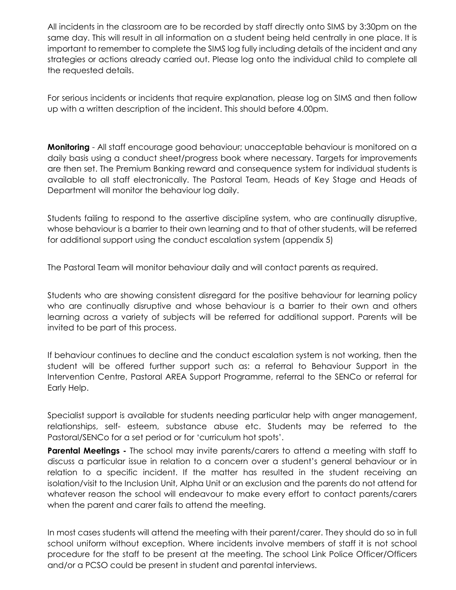All incidents in the classroom are to be recorded by staff directly onto SIMS by 3:30pm on the same day. This will result in all information on a student being held centrally in one place. It is important to remember to complete the SIMS log fully including details of the incident and any strategies or actions already carried out. Please log onto the individual child to complete all the requested details.

For serious incidents or incidents that require explanation, please log on SIMS and then follow up with a written description of the incident. This should before 4.00pm.

**Monitoring** - All staff encourage good behaviour; unacceptable behaviour is monitored on a daily basis using a conduct sheet/progress book where necessary. Targets for improvements are then set. The Premium Banking reward and consequence system for individual students is available to all staff electronically. The Pastoral Team, Heads of Key Stage and Heads of Department will monitor the behaviour log daily.

Students failing to respond to the assertive discipline system, who are continually disruptive, whose behaviour is a barrier to their own learning and to that of other students, will be referred for additional support using the conduct escalation system (appendix 5)

The Pastoral Team will monitor behaviour daily and will contact parents as required.

Students who are showing consistent disregard for the positive behaviour for learning policy who are continually disruptive and whose behaviour is a barrier to their own and others learning across a variety of subjects will be referred for additional support. Parents will be invited to be part of this process.

If behaviour continues to decline and the conduct escalation system is not working, then the student will be offered further support such as: a referral to Behaviour Support in the Intervention Centre, Pastoral AREA Support Programme, referral to the SENCo or referral for Early Help.

Specialist support is available for students needing particular help with anger management, relationships, self- esteem, substance abuse etc. Students may be referred to the Pastoral/SENCo for a set period or for 'curriculum hot spots'.

**Parental Meetings -** The school may invite parents/carers to attend a meeting with staff to discuss a particular issue in relation to a concern over a student's general behaviour or in relation to a specific incident. If the matter has resulted in the student receiving an isolation/visit to the Inclusion Unit, Alpha Unit or an exclusion and the parents do not attend for whatever reason the school will endeavour to make every effort to contact parents/carers when the parent and carer fails to attend the meeting.

In most cases students will attend the meeting with their parent/carer. They should do so in full school uniform without exception. Where incidents involve members of staff it is not school procedure for the staff to be present at the meeting. The school Link Police Officer/Officers and/or a PCSO could be present in student and parental interviews.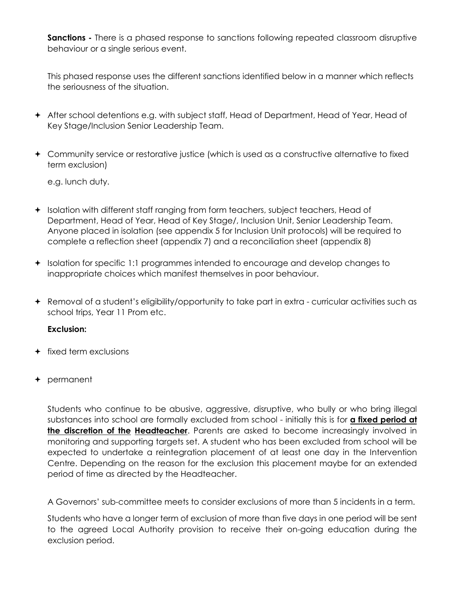**Sanctions** - There is a phased response to sanctions following repeated classroom disruptive behaviour or a single serious event.

This phased response uses the different sanctions identified below in a manner which reflects the seriousness of the situation.

- After school detentions e.g. with subject staff, Head of Department, Head of Year, Head of Key Stage/Inclusion Senior Leadership Team.
- Community service or restorative justice (which is used as a constructive alternative to fixed term exclusion)

e.g. lunch duty.

- Isolation with different staff ranging from form teachers, subject teachers, Head of Department, Head of Year, Head of Key Stage/, Inclusion Unit, Senior Leadership Team. Anyone placed in isolation (see appendix 5 for Inclusion Unit protocols) will be required to complete a reflection sheet (appendix 7) and a reconciliation sheet (appendix 8)
- Isolation for specific 1:1 programmes intended to encourage and develop changes to inappropriate choices which manifest themselves in poor behaviour.
- Removal of a student's eligibility/opportunity to take part in extra curricular activities such as school trips, Year 11 Prom etc.

#### **Exclusion:**

- $+$  fixed term exclusions
- permanent

Students who continue to be abusive, aggressive, disruptive, who bully or who bring illegal substances into school are formally excluded from school - initially this is for **a fixed period at the discretion of the Headteacher**. Parents are asked to become increasingly involved in monitoring and supporting targets set. A student who has been excluded from school will be expected to undertake a reintegration placement of at least one day in the Intervention Centre. Depending on the reason for the exclusion this placement maybe for an extended period of time as directed by the Headteacher.

A Governors' sub-committee meets to consider exclusions of more than 5 incidents in a term.

Students who have a longer term of exclusion of more than five days in one period will be sent to the agreed Local Authority provision to receive their on-going education during the exclusion period.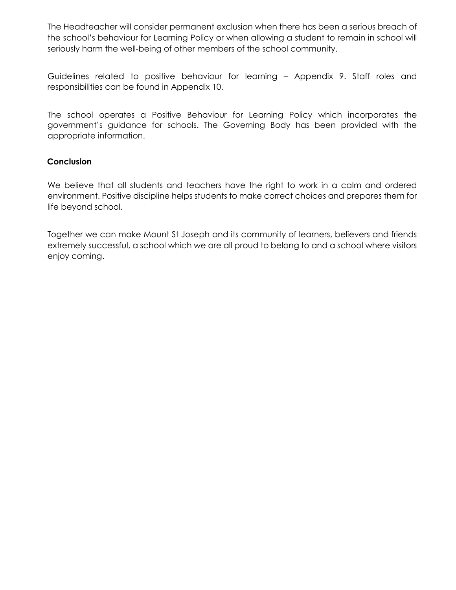The Headteacher will consider permanent exclusion when there has been a serious breach of the school's behaviour for Learning Policy or when allowing a student to remain in school will seriously harm the well-being of other members of the school community.

Guidelines related to positive behaviour for learning – Appendix 9. Staff roles and responsibilities can be found in Appendix 10.

The school operates a Positive Behaviour for Learning Policy which incorporates the government's guidance for schools. The Governing Body has been provided with the appropriate information.

## **Conclusion**

We believe that all students and teachers have the right to work in a calm and ordered environment. Positive discipline helps students to make correct choices and prepares them for life beyond school.

Together we can make Mount St Joseph and its community of learners, believers and friends extremely successful, a school which we are all proud to belong to and a school where visitors enjoy coming.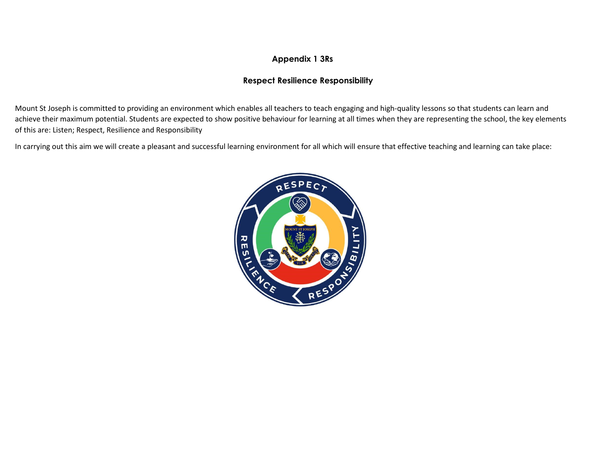## **Appendix 1 3Rs**

#### **Respect Resilience Responsibility**

Mount St Joseph is committed to providing an environment which enables all teachers to teach engaging and high-quality lessons so that students can learn and achieve their maximum potential. Students are expected to show positive behaviour for learning at all times when they are representing the school, the key elements of this are: Listen; Respect, Resilience and Responsibility

In carrying out this aim we will create a pleasant and successful learning environment for all which will ensure that effective teaching and learning can take place:

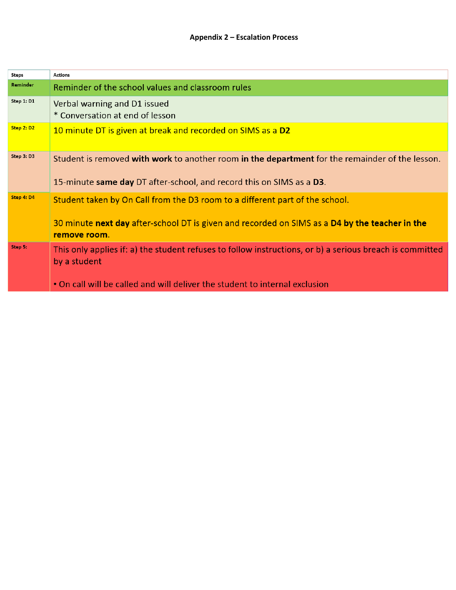| Steps           | <b>Actions</b>                                                                                                           |
|-----------------|--------------------------------------------------------------------------------------------------------------------------|
| <b>Reminder</b> | Reminder of the school values and classroom rules                                                                        |
| Step 1: D1      | Verbal warning and D1 issued<br>* Conversation at end of lesson                                                          |
| Step 2: D2      | 10 minute DT is given at break and recorded on SIMS as a D2                                                              |
| Step 3: D3      | Student is removed with work to another room in the department for the remainder of the lesson.                          |
|                 | 15-minute same day DT after-school, and record this on SIMS as a D3.                                                     |
| Step 4: D4      | Student taken by On Call from the D3 room to a different part of the school.                                             |
|                 | 30 minute next day after-school DT is given and recorded on SIMS as a D4 by the teacher in the<br>remove room.           |
| Step 5:         | This only applies if: a) the student refuses to follow instructions, or b) a serious breach is committed<br>by a student |
|                 | . On call will be called and will deliver the student to internal exclusion                                              |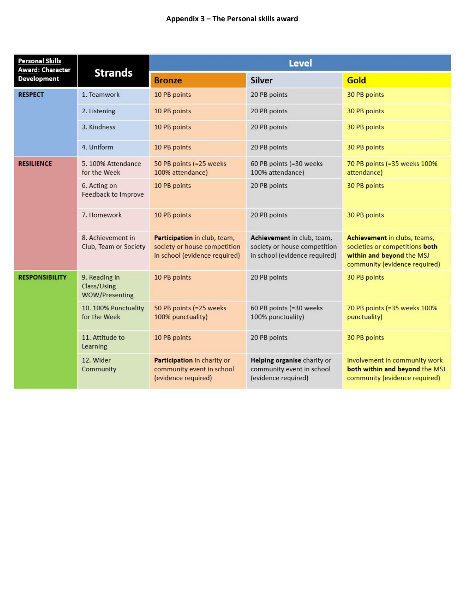#### **Appendix 3 – The Personal skills award**

| <b>Personal Skills</b><br>Award: Character |                                                     | <b>Level</b>                                                                                  |                                                                                             |                                                                                                                              |  |
|--------------------------------------------|-----------------------------------------------------|-----------------------------------------------------------------------------------------------|---------------------------------------------------------------------------------------------|------------------------------------------------------------------------------------------------------------------------------|--|
| <b>Development</b>                         | <b>Strands</b>                                      | <b>Bronze</b>                                                                                 | <b>Silver</b>                                                                               | Gold                                                                                                                         |  |
| <b>RESPECT</b>                             | 1. Teamwork                                         | 10 PB points                                                                                  | 20 PB points                                                                                | 30 PB points                                                                                                                 |  |
|                                            | 2. Listening                                        | 10 PB points                                                                                  | 20 PB points                                                                                | 30 PB points                                                                                                                 |  |
|                                            | 3. Kindness                                         | 10 PB points                                                                                  | 20 PB points                                                                                | 30 PB points                                                                                                                 |  |
|                                            | 4. Uniform                                          | 10 PB points                                                                                  | 20 PB points                                                                                | 30 PB points                                                                                                                 |  |
| <b>RESILIENCE</b>                          | 5.100% Attendance<br>for the Week                   | 50 PB points (=25 weeks<br>100% attendance)                                                   | 60 PB points (=30 weeks<br>100% attendance)                                                 | 70 PB points (=35 weeks 100%<br>attendance)                                                                                  |  |
|                                            | 6. Acting on<br>10 PB points<br>Feedback to Improve |                                                                                               | 20 PB points                                                                                | 30 PB points                                                                                                                 |  |
|                                            | 7. Homework<br>10 PB points                         |                                                                                               | 20 PB points                                                                                | 30 PB points                                                                                                                 |  |
|                                            | 8. Achievement in<br>Club, Team or Society          | Participation in club, team,<br>society or house competition<br>in school (evidence required) | Achievement in club, team,<br>society or house competition<br>in school (evidence required) | Achievement in clubs, teams,<br>societies or competitions both<br>within and beyond the MSJ<br>community (evidence required) |  |
| <b>RESPONSIBILITY</b>                      | 9. Reading in<br>Class/Using<br>WOW/Presenting      | 10 PB points                                                                                  | 20 PB points                                                                                | 30 PB points                                                                                                                 |  |
|                                            | 10. 100% Punctuality<br>for the Week                | 50 PB points (=25 weeks<br>100% punctuality)                                                  | 60 PB points (=30 weeks<br>100% punctuality)                                                | 70 PB points (=35 weeks 100%<br>punctuality)                                                                                 |  |
|                                            | 11. Attitude to<br>Learning                         | 10 PB points                                                                                  | 20 PB points                                                                                | 30 PB points                                                                                                                 |  |
|                                            | 12. Wider<br>Community                              | Participation in charity or<br>community event in school<br>(evidence required)               | Helping organise charity or<br>community event in school<br>(evidence required)             | Involvement in community work<br>both within and beyond the MSJ<br>community (evidence required)                             |  |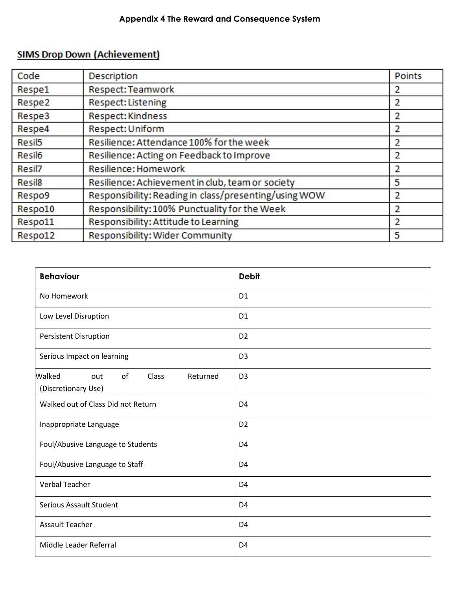## **SIMS Drop Down (Achievement)**

| Code               | <b>Description</b>                                    | <b>Points</b>  |
|--------------------|-------------------------------------------------------|----------------|
| Respe1             | Respect: Teamwork                                     | 2              |
| Respe2             | Respect: Listening                                    | $\overline{2}$ |
| Respe3             | <b>Respect: Kindness</b>                              | 2              |
| Respe4             | Respect: Uniform                                      | $\overline{2}$ |
| Resil <sub>5</sub> | Resilience: Attendance 100% for the week              | 2              |
| Resil <sub>6</sub> | Resilience: Acting on Feedback to Improve             | $\overline{2}$ |
| Resil7             | Resilience: Homework                                  | $\overline{2}$ |
| Resil <sub>8</sub> | Resilience: Achievement in club, team or society      | 5              |
| Respo9             | Responsibility: Reading in class/presenting/using WOW | 2              |
| Respo10            | Responsibility: 100% Punctuality for the Week         | 2              |
| Respo11            | Responsibility: Attitude to Learning                  | $\overline{2}$ |
| Respo12            | Responsibility: Wider Community                       | 5              |

| <b>Behaviour</b>                                                | <b>Debit</b>   |
|-----------------------------------------------------------------|----------------|
| No Homework                                                     | D <sub>1</sub> |
| Low Level Disruption                                            | D <sub>1</sub> |
| <b>Persistent Disruption</b>                                    | D <sub>2</sub> |
| Serious Impact on learning                                      | D <sub>3</sub> |
| Walked<br>of<br>Class<br>Returned<br>out<br>(Discretionary Use) | D <sub>3</sub> |
| Walked out of Class Did not Return                              | D <sub>4</sub> |
| Inappropriate Language                                          | D <sub>2</sub> |
| Foul/Abusive Language to Students                               | D <sub>4</sub> |
| Foul/Abusive Language to Staff                                  | D <sub>4</sub> |
| <b>Verbal Teacher</b>                                           | D <sub>4</sub> |
| <b>Serious Assault Student</b>                                  | D <sub>4</sub> |
| <b>Assault Teacher</b>                                          | D <sub>4</sub> |
| Middle Leader Referral                                          | D <sub>4</sub> |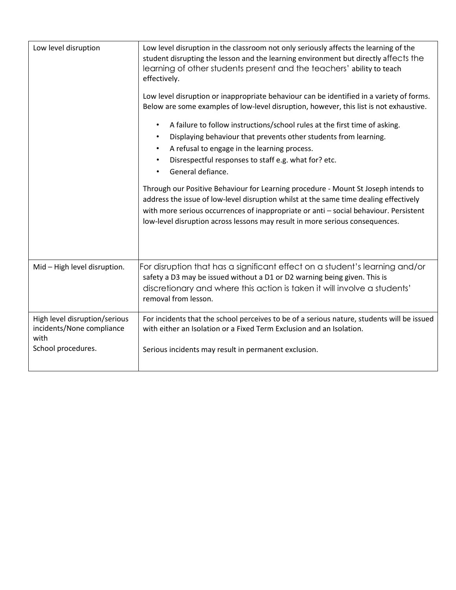| Low level disruption                                               | Low level disruption in the classroom not only seriously affects the learning of the<br>student disrupting the lesson and the learning environment but directly affects the<br>learning of other students present and the teachers' ability to teach<br>effectively.<br>Low level disruption or inappropriate behaviour can be identified in a variety of forms.<br>Below are some examples of low-level disruption, however, this list is not exhaustive.<br>A failure to follow instructions/school rules at the first time of asking.<br>$\bullet$<br>Displaying behaviour that prevents other students from learning.<br>$\bullet$<br>A refusal to engage in the learning process.<br>$\bullet$<br>Disrespectful responses to staff e.g. what for? etc.<br>$\bullet$<br>General defiance.<br>Through our Positive Behaviour for Learning procedure - Mount St Joseph intends to<br>address the issue of low-level disruption whilst at the same time dealing effectively<br>with more serious occurrences of inappropriate or anti - social behaviour. Persistent<br>low-level disruption across lessons may result in more serious consequences. |
|--------------------------------------------------------------------|-------------------------------------------------------------------------------------------------------------------------------------------------------------------------------------------------------------------------------------------------------------------------------------------------------------------------------------------------------------------------------------------------------------------------------------------------------------------------------------------------------------------------------------------------------------------------------------------------------------------------------------------------------------------------------------------------------------------------------------------------------------------------------------------------------------------------------------------------------------------------------------------------------------------------------------------------------------------------------------------------------------------------------------------------------------------------------------------------------------------------------------------------------|
|                                                                    |                                                                                                                                                                                                                                                                                                                                                                                                                                                                                                                                                                                                                                                                                                                                                                                                                                                                                                                                                                                                                                                                                                                                                       |
| Mid-High level disruption.                                         | For disruption that has a significant effect on a student's learning and/or<br>safety a D3 may be issued without a D1 or D2 warning being given. This is<br>discretionary and where this action is taken it will involve a students'<br>removal from lesson.                                                                                                                                                                                                                                                                                                                                                                                                                                                                                                                                                                                                                                                                                                                                                                                                                                                                                          |
| High level disruption/serious<br>incidents/None compliance<br>with | For incidents that the school perceives to be of a serious nature, students will be issued<br>with either an Isolation or a Fixed Term Exclusion and an Isolation.                                                                                                                                                                                                                                                                                                                                                                                                                                                                                                                                                                                                                                                                                                                                                                                                                                                                                                                                                                                    |
| School procedures.                                                 | Serious incidents may result in permanent exclusion.                                                                                                                                                                                                                                                                                                                                                                                                                                                                                                                                                                                                                                                                                                                                                                                                                                                                                                                                                                                                                                                                                                  |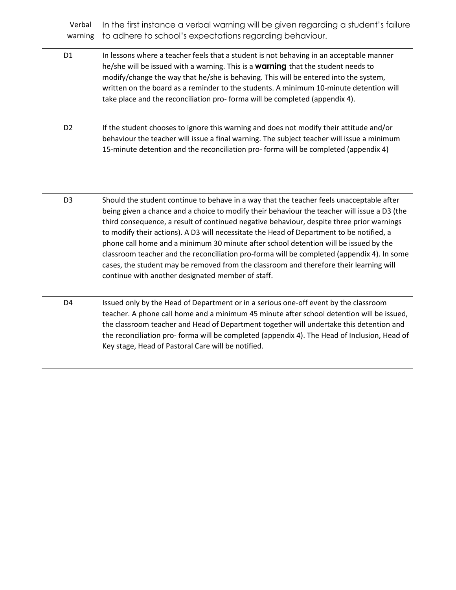| Verbal<br>warning | In the first instance a verbal warning will be given regarding a student's failure<br>to adhere to school's expectations regarding behaviour.                                                                                                                                                                                                                                                                                                                                                                                                                                                                                                                                                                          |
|-------------------|------------------------------------------------------------------------------------------------------------------------------------------------------------------------------------------------------------------------------------------------------------------------------------------------------------------------------------------------------------------------------------------------------------------------------------------------------------------------------------------------------------------------------------------------------------------------------------------------------------------------------------------------------------------------------------------------------------------------|
| D <sub>1</sub>    | In lessons where a teacher feels that a student is not behaving in an acceptable manner<br>he/she will be issued with a warning. This is a warning that the student needs to<br>modify/change the way that he/she is behaving. This will be entered into the system,<br>written on the board as a reminder to the students. A minimum 10-minute detention will<br>take place and the reconciliation pro-forma will be completed (appendix 4).                                                                                                                                                                                                                                                                          |
| D <sub>2</sub>    | If the student chooses to ignore this warning and does not modify their attitude and/or<br>behaviour the teacher will issue a final warning. The subject teacher will issue a minimum<br>15-minute detention and the reconciliation pro-forma will be completed (appendix 4)                                                                                                                                                                                                                                                                                                                                                                                                                                           |
| D <sub>3</sub>    | Should the student continue to behave in a way that the teacher feels unacceptable after<br>being given a chance and a choice to modify their behaviour the teacher will issue a D3 (the<br>third consequence, a result of continued negative behaviour, despite three prior warnings<br>to modify their actions). A D3 will necessitate the Head of Department to be notified, a<br>phone call home and a minimum 30 minute after school detention will be issued by the<br>classroom teacher and the reconciliation pro-forma will be completed (appendix 4). In some<br>cases, the student may be removed from the classroom and therefore their learning will<br>continue with another designated member of staff. |
| D <sub>4</sub>    | Issued only by the Head of Department or in a serious one-off event by the classroom<br>teacher. A phone call home and a minimum 45 minute after school detention will be issued,<br>the classroom teacher and Head of Department together will undertake this detention and<br>the reconciliation pro-forma will be completed (appendix 4). The Head of Inclusion, Head of<br>Key stage, Head of Pastoral Care will be notified.                                                                                                                                                                                                                                                                                      |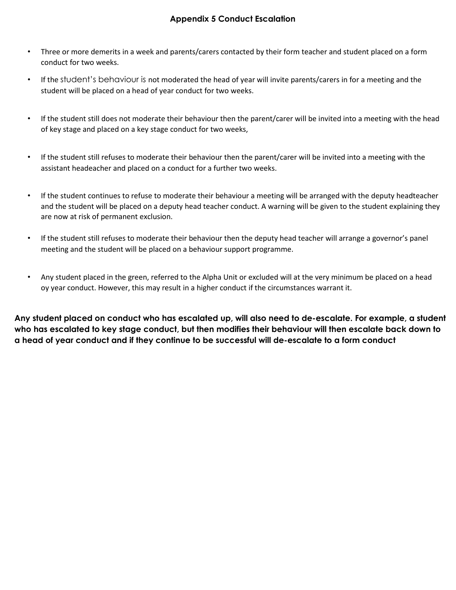## **Appendix 5 Conduct Escalation**

- Three or more demerits in a week and parents/carers contacted by their form teacher and student placed on a form conduct for two weeks.
- If the student's behaviour is not moderated the head of year will invite parents/carers in for a meeting and the student will be placed on a head of year conduct for two weeks.
- If the student still does not moderate their behaviour then the parent/carer will be invited into a meeting with the head of key stage and placed on a key stage conduct for two weeks,
- If the student still refuses to moderate their behaviour then the parent/carer will be invited into a meeting with the assistant headeacher and placed on a conduct for a further two weeks.
- If the student continues to refuse to moderate their behaviour a meeting will be arranged with the deputy headteacher and the student will be placed on a deputy head teacher conduct. A warning will be given to the student explaining they are now at risk of permanent exclusion.
- If the student still refuses to moderate their behaviour then the deputy head teacher will arrange a governor's panel meeting and the student will be placed on a behaviour support programme.
- Any student placed in the green, referred to the Alpha Unit or excluded will at the very minimum be placed on a head oy year conduct. However, this may result in a higher conduct if the circumstances warrant it.

**Any student placed on conduct who has escalated up, will also need to de-escalate. For example, a student who has escalated to key stage conduct, but then modifies their behaviour will then escalate back down to a head of year conduct and if they continue to be successful will de-escalate to a form conduct**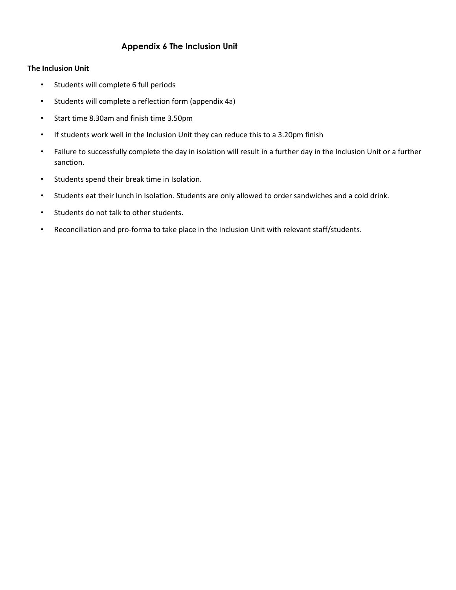## **Appendix 6 The Inclusion Unit**

#### **The Inclusion Unit**

- Students will complete 6 full periods
- Students will complete a reflection form (appendix 4a)
- Start time 8.30am and finish time 3.50pm
- If students work well in the Inclusion Unit they can reduce this to a 3.20pm finish
- Failure to successfully complete the day in isolation will result in a further day in the Inclusion Unit or a further sanction.
- Students spend their break time in Isolation.
- Students eat their lunch in Isolation. Students are only allowed to order sandwiches and a cold drink.
- Students do not talk to other students.
- Reconciliation and pro-forma to take place in the Inclusion Unit with relevant staff/students.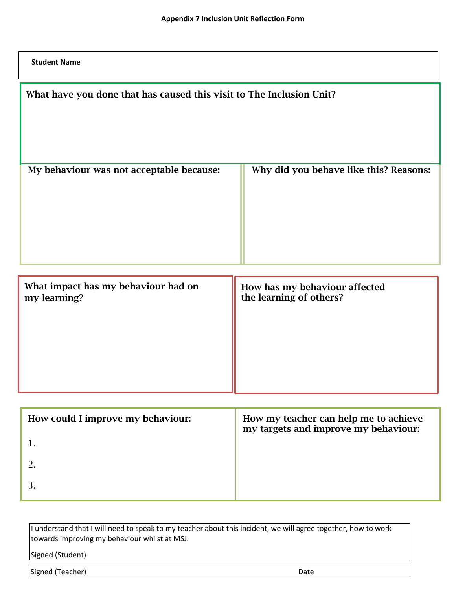**Student Name**

| What have you done that has caused this visit to The Inclusion Unit? |                                                                               |
|----------------------------------------------------------------------|-------------------------------------------------------------------------------|
| My behaviour was not acceptable because:                             | Why did you behave like this? Reasons:                                        |
| What impact has my behaviour had on<br>my learning?                  | How has my behaviour affected<br>the learning of others?                      |
|                                                                      |                                                                               |
| How could I improve my behaviour:<br>$\mathbf 1$                     | How my teacher can help me to achieve<br>my targets and improve my behaviour: |

1.

2.

3.

| I understand that I will need to speak to my teacher about this incident, we will agree together, how to work |      |
|---------------------------------------------------------------------------------------------------------------|------|
| towards improving my behaviour whilst at MSJ.                                                                 |      |
| Signed (Student)                                                                                              |      |
|                                                                                                               |      |
| Signed (Teacher)                                                                                              | Date |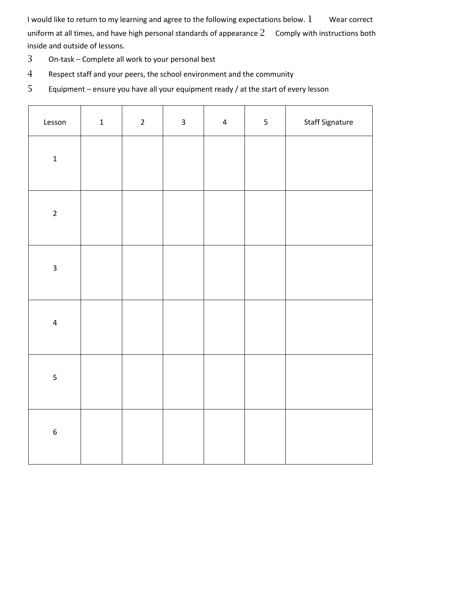I would like to return to my learning and agree to the following expectations below. Wear correct uniform at all times, and have high personal standards of appearance Comply with instructions both inside and outside of lessons.

- On-task Complete all work to your personal best
- Respect staff and your peers, the school environment and the community
- Equipment ensure you have all your equipment ready / at the start of every lesson

| Lesson                  | $\mathbf 1$ | $\overline{2}$ | $\mathbf{3}$ | $\overline{4}$ | 5 | Staff Signature |
|-------------------------|-------------|----------------|--------------|----------------|---|-----------------|
| $\mathbf 1$             |             |                |              |                |   |                 |
| $\overline{2}$          |             |                |              |                |   |                 |
| $\overline{\mathbf{3}}$ |             |                |              |                |   |                 |
| $\overline{\mathbf{4}}$ |             |                |              |                |   |                 |
| $\overline{\mathbf{5}}$ |             |                |              |                |   |                 |
| $\boldsymbol{6}$        |             |                |              |                |   |                 |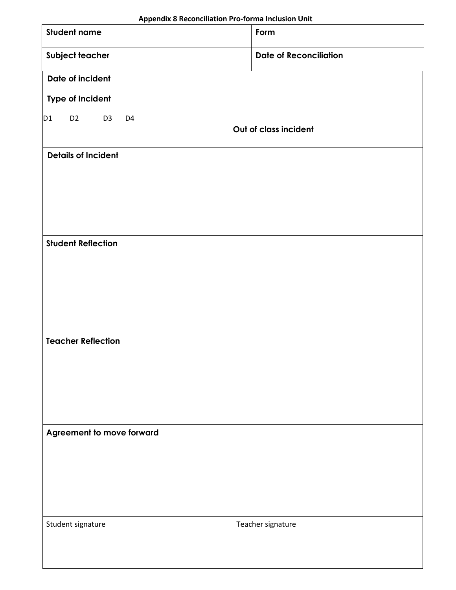|                 | Appendix 8 Reconciliation Pro-forma Inclusion Unit                          |  |                           |                               |  |  |
|-----------------|-----------------------------------------------------------------------------|--|---------------------------|-------------------------------|--|--|
|                 | <b>Student name</b>                                                         |  |                           | Form                          |  |  |
| Subject teacher |                                                                             |  |                           | <b>Date of Reconciliation</b> |  |  |
|                 | Date of incident                                                            |  |                           |                               |  |  |
|                 | <b>Type of Incident</b>                                                     |  |                           |                               |  |  |
| D1              | D <sub>2</sub><br>D <sub>3</sub><br>D <sub>4</sub><br>Out of class incident |  |                           |                               |  |  |
|                 | <b>Details of Incident</b>                                                  |  |                           |                               |  |  |
|                 |                                                                             |  |                           |                               |  |  |
|                 |                                                                             |  |                           |                               |  |  |
|                 |                                                                             |  |                           |                               |  |  |
|                 | <b>Student Reflection</b>                                                   |  |                           |                               |  |  |
|                 |                                                                             |  |                           |                               |  |  |
|                 |                                                                             |  |                           |                               |  |  |
|                 |                                                                             |  |                           |                               |  |  |
|                 |                                                                             |  |                           |                               |  |  |
|                 | <b>Teacher Reflection</b>                                                   |  |                           |                               |  |  |
|                 |                                                                             |  |                           |                               |  |  |
|                 |                                                                             |  |                           |                               |  |  |
|                 |                                                                             |  |                           |                               |  |  |
|                 |                                                                             |  | Agreement to move forward |                               |  |  |
|                 |                                                                             |  |                           |                               |  |  |
|                 |                                                                             |  |                           |                               |  |  |
|                 |                                                                             |  |                           |                               |  |  |
|                 |                                                                             |  |                           |                               |  |  |
|                 | Student signature                                                           |  |                           | Teacher signature             |  |  |
|                 |                                                                             |  |                           |                               |  |  |
|                 |                                                                             |  |                           |                               |  |  |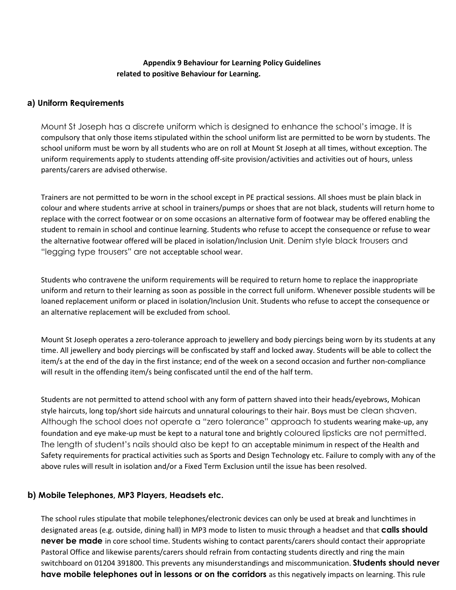#### **Appendix 9 Behaviour for Learning Policy Guidelines related to positive Behaviour for Learning.**

#### **a) Uniform Requirements**

Mount St Joseph has a discrete uniform which is designed to enhance the school's image. It is compulsory that only those items stipulated within the school uniform list are permitted to be worn by students. The school uniform must be worn by all students who are on roll at Mount St Joseph at all times, without exception. The uniform requirements apply to students attending off-site provision/activities and activities out of hours, unless parents/carers are advised otherwise.

Trainers are not permitted to be worn in the school except in PE practical sessions. All shoes must be plain black in colour and where students arrive at school in trainers/pumps or shoes that are not black, students will return home to replace with the correct footwear or on some occasions an alternative form of footwear may be offered enabling the student to remain in school and continue learning. Students who refuse to accept the consequence or refuse to wear the alternative footwear offered will be placed in isolation/Inclusion Unit. Denim style black trousers and "legging type trousers" are not acceptable school wear.

Students who contravene the uniform requirements will be required to return home to replace the inappropriate uniform and return to their learning as soon as possible in the correct full uniform. Whenever possible students will be loaned replacement uniform or placed in isolation/Inclusion Unit. Students who refuse to accept the consequence or an alternative replacement will be excluded from school.

Mount St Joseph operates a zero-tolerance approach to jewellery and body piercings being worn by its students at any time. All jewellery and body piercings will be confiscated by staff and locked away. Students will be able to collect the item/s at the end of the day in the first instance; end of the week on a second occasion and further non-compliance will result in the offending item/s being confiscated until the end of the half term.

Students are not permitted to attend school with any form of pattern shaved into their heads/eyebrows, Mohican style haircuts, long top/short side haircuts and unnatural colourings to their hair. Boys must be clean shaven. Although the school does not operate a "zero tolerance" approach to students wearing make-up, any foundation and eye make-up must be kept to a natural tone and brightly coloured lipsticks are not permitted. The length of student's nails should also be kept to an acceptable minimum in respect of the Health and Safety requirements for practical activities such as Sports and Design Technology etc. Failure to comply with any of the above rules will result in isolation and/or a Fixed Term Exclusion until the issue has been resolved.

#### **b) Mobile Telephones, MP3 Players, Headsets etc.**

The school rules stipulate that mobile telephones/electronic devices can only be used at break and lunchtimes in designated areas (e.g. outside, dining hall) in MP3 mode to listen to music through a headset and that **calls should never be made** in core school time. Students wishing to contact parents/carers should contact their appropriate Pastoral Office and likewise parents/carers should refrain from contacting students directly and ring the main switchboard on 01204 391800. This prevents any misunderstandings and miscommunication. **Students should never have mobile telephones out in lessons or on the corridors** as this negatively impacts on learning. This rule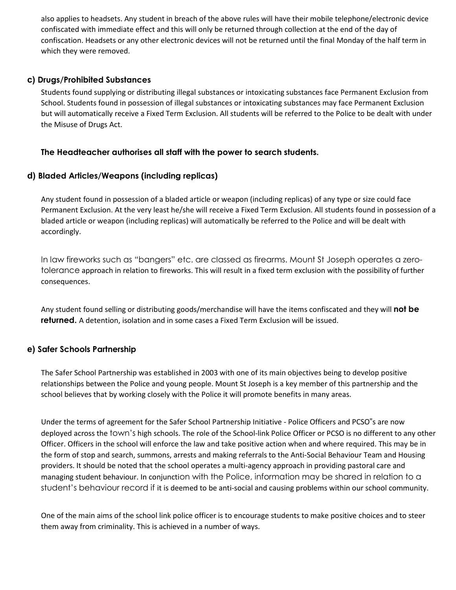also applies to headsets. Any student in breach of the above rules will have their mobile telephone/electronic device confiscated with immediate effect and this will only be returned through collection at the end of the day of confiscation. Headsets or any other electronic devices will not be returned until the final Monday of the half term in which they were removed.

## **c) Drugs/Prohibited Substances**

Students found supplying or distributing illegal substances or intoxicating substances face Permanent Exclusion from School. Students found in possession of illegal substances or intoxicating substances may face Permanent Exclusion but will automatically receive a Fixed Term Exclusion. All students will be referred to the Police to be dealt with under the Misuse of Drugs Act.

#### **The Headteacher authorises all staff with the power to search students.**

#### **d) Bladed Articles/Weapons (including replicas)**

Any student found in possession of a bladed article or weapon (including replicas) of any type or size could face Permanent Exclusion. At the very least he/she will receive a Fixed Term Exclusion. All students found in possession of a bladed article or weapon (including replicas) will automatically be referred to the Police and will be dealt with accordingly.

In law fireworks such as "bangers" etc. are classed as firearms. Mount St Joseph operates a zerotolerance approach in relation to fireworks. This will result in a fixed term exclusion with the possibility of further consequences.

Any student found selling or distributing goods/merchandise will have the items confiscated and they will **not be returned.** A detention, isolation and in some cases a Fixed Term Exclusion will be issued.

## **e) Safer Schools Partnership**

The Safer School Partnership was established in 2003 with one of its main objectives being to develop positive relationships between the Police and young people. Mount St Joseph is a key member of this partnership and the school believes that by working closely with the Police it will promote benefits in many areas.

Under the terms of agreement for the Safer School Partnership Initiative - Police Officers and PCSO"s are now deployed across the town's high schools. The role of the School-link Police Officer or PCSO is no different to any other Officer. Officers in the school will enforce the law and take positive action when and where required. This may be in the form of stop and search, summons, arrests and making referrals to the Anti-Social Behaviour Team and Housing providers. It should be noted that the school operates a multi-agency approach in providing pastoral care and managing student behaviour. In conjunction with the Police, information may be shared in relation to a student's behaviour record if it is deemed to be anti-social and causing problems within our school community.

One of the main aims of the school link police officer is to encourage students to make positive choices and to steer them away from criminality. This is achieved in a number of ways.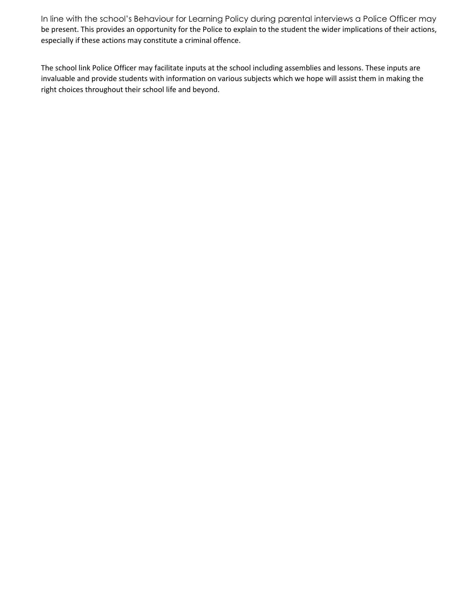In line with the school's Behaviour for Learning Policy during parental interviews a Police Officer may be present. This provides an opportunity for the Police to explain to the student the wider implications of their actions, especially if these actions may constitute a criminal offence.

The school link Police Officer may facilitate inputs at the school including assemblies and lessons. These inputs are invaluable and provide students with information on various subjects which we hope will assist them in making the right choices throughout their school life and beyond.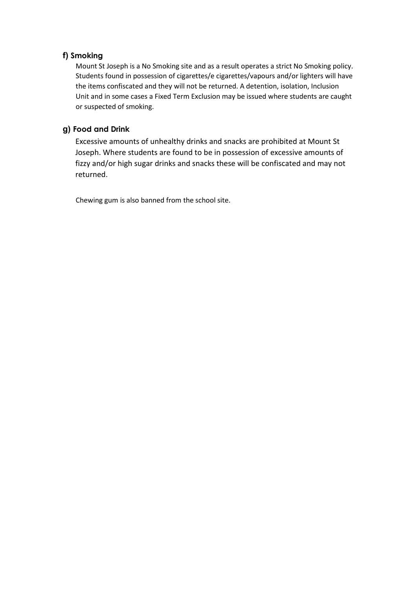## **f) Smoking**

Mount St Joseph is a No Smoking site and as a result operates a strict No Smoking policy. Students found in possession of cigarettes/e cigarettes/vapours and/or lighters will have the items confiscated and they will not be returned. A detention, isolation, Inclusion Unit and in some cases a Fixed Term Exclusion may be issued where students are caught or suspected of smoking.

#### **g) Food and Drink**

Excessive amounts of unhealthy drinks and snacks are prohibited at Mount St Joseph. Where students are found to be in possession of excessive amounts of fizzy and/or high sugar drinks and snacks these will be confiscated and may not returned.

Chewing gum is also banned from the school site.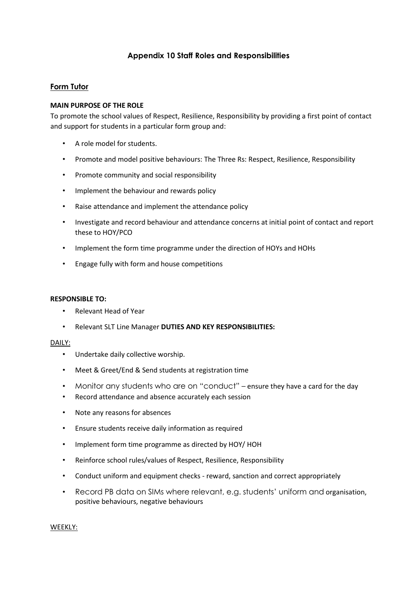## **Appendix 10 Staff Roles and Responsibilities**

#### **Form Tutor**

#### **MAIN PURPOSE OF THE ROLE**

To promote the school values of Respect, Resilience, Responsibility by providing a first point of contact and support for students in a particular form group and:

- A role model for students.
- Promote and model positive behaviours: The Three Rs: Respect, Resilience, Responsibility
- Promote community and social responsibility
- Implement the behaviour and rewards policy
- Raise attendance and implement the attendance policy
- Investigate and record behaviour and attendance concerns at initial point of contact and report these to HOY/PCO
- Implement the form time programme under the direction of HOYs and HOHs
- Engage fully with form and house competitions

#### **RESPONSIBLE TO:**

- Relevant Head of Year
- Relevant SLT Line Manager **DUTIES AND KEY RESPONSIBILITIES:**

#### DAILY:

- Undertake daily collective worship.
- Meet & Greet/End & Send students at registration time
- Monitor any students who are on "conduct" ensure they have a card for the day
- Record attendance and absence accurately each session
- Note any reasons for absences
- Ensure students receive daily information as required
- Implement form time programme as directed by HOY/ HOH
- Reinforce school rules/values of Respect, Resilience, Responsibility
- Conduct uniform and equipment checks reward, sanction and correct appropriately
- Record PB data on SIMs where relevant, e.g. students' uniform and organisation, positive behaviours, negative behaviours

#### WEEKLY: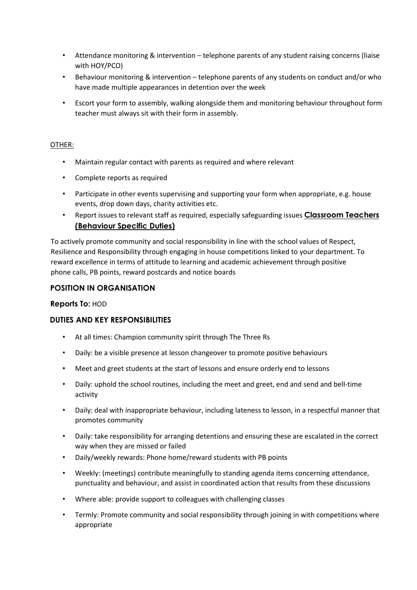- Attendance monitoring & intervention telephone parents of any student raising concerns (liaise with HOY/PCO)
- Behaviour monitoring & intervention telephone parents of any students on conduct and/or who have made multiple appearances in detention over the week
- Escort your form to assembly, walking alongside them and monitoring behaviour throughout form teacher must always sit with their form in assembly.

#### OTHER:

- Maintain regular contact with parents as required and where relevant
- Complete reports as required
- Participate in other events supervising and supporting your form when appropriate, e.g. house events, drop down days, charity activities etc.
- Report issues to relevant staff as required, especially safeguarding issues **Classroom Teachers (Behaviour Specific Duties)**

To actively promote community and social responsibility in line with the school values of Respect, Resilience and Responsibility through engaging in house competitions linked to your department. To reward excellence in terms of attitude to learning and academic achievement through positive phone calls, PB points, reward postcards and notice boards

## **POSITION IN ORGANISATION**

#### **Reports To:** HOD

## **DUTIES AND KEY RESPONSIBILITIES**

- At all times: Champion community spirit through The Three Rs
- Daily: be a visible presence at lesson changeover to promote positive behaviours
- Meet and greet students at the start of lessons and ensure orderly end to lessons
- Daily: uphold the school routines, including the meet and greet, end and send and bell-time activity
- Daily: deal with inappropriate behaviour, including lateness to lesson, in a respectful manner that promotes community
- Daily: take responsibility for arranging detentions and ensuring these are escalated in the correct way when they are missed or failed
- Daily/weekly rewards: Phone home/reward students with PB points
- Weekly: (meetings) contribute meaningfully to standing agenda items concerning attendance, punctuality and behaviour, and assist in coordinated action that results from these discussions
- Where able: provide support to colleagues with challenging classes
- Termly: Promote community and social responsibility through joining in with competitions where appropriate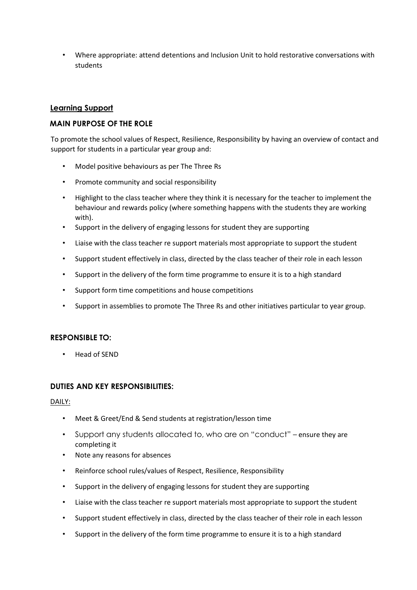• Where appropriate: attend detentions and Inclusion Unit to hold restorative conversations with students

#### **Learning Support**

#### **MAIN PURPOSE OF THE ROLE**

To promote the school values of Respect, Resilience, Responsibility by having an overview of contact and support for students in a particular year group and:

- Model positive behaviours as per The Three Rs
- Promote community and social responsibility
- Highlight to the class teacher where they think it is necessary for the teacher to implement the behaviour and rewards policy (where something happens with the students they are working with).
- Support in the delivery of engaging lessons for student they are supporting
- Liaise with the class teacher re support materials most appropriate to support the student
- Support student effectively in class, directed by the class teacher of their role in each lesson
- Support in the delivery of the form time programme to ensure it is to a high standard
- Support form time competitions and house competitions
- Support in assemblies to promote The Three Rs and other initiatives particular to year group.

#### **RESPONSIBLE TO:**

• Head of SEND

#### **DUTIES AND KEY RESPONSIBILITIES:**

#### DAILY:

- Meet & Greet/End & Send students at registration/lesson time
- Support any students allocated to, who are on "conduct" ensure they are completing it
- Note any reasons for absences
- Reinforce school rules/values of Respect, Resilience, Responsibility
- Support in the delivery of engaging lessons for student they are supporting
- Liaise with the class teacher re support materials most appropriate to support the student
- Support student effectively in class, directed by the class teacher of their role in each lesson
- Support in the delivery of the form time programme to ensure it is to a high standard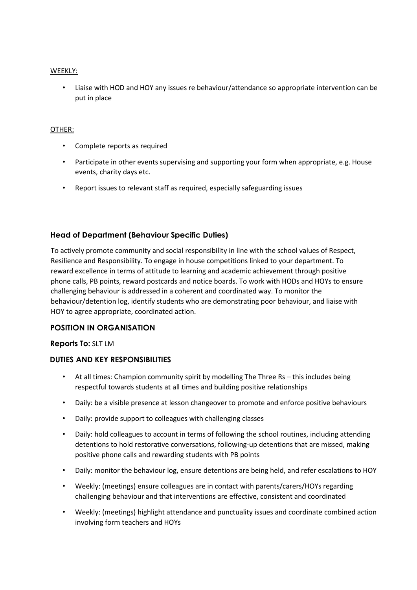#### WEEKLY:

• Liaise with HOD and HOY any issues re behaviour/attendance so appropriate intervention can be put in place

#### OTHER:

- Complete reports as required
- Participate in other events supervising and supporting your form when appropriate, e.g. House events, charity days etc.
- Report issues to relevant staff as required, especially safeguarding issues

## **Head of Department (Behaviour Specific Duties)**

To actively promote community and social responsibility in line with the school values of Respect, Resilience and Responsibility. To engage in house competitions linked to your department. To reward excellence in terms of attitude to learning and academic achievement through positive phone calls, PB points, reward postcards and notice boards. To work with HODs and HOYs to ensure challenging behaviour is addressed in a coherent and coordinated way. To monitor the behaviour/detention log, identify students who are demonstrating poor behaviour, and liaise with HOY to agree appropriate, coordinated action.

#### **POSITION IN ORGANISATION**

#### **Reports To:** SLT LM

#### **DUTIES AND KEY RESPONSIBILITIES**

- At all times: Champion community spirit by modelling The Three Rs this includes being respectful towards students at all times and building positive relationships
- Daily: be a visible presence at lesson changeover to promote and enforce positive behaviours
- Daily: provide support to colleagues with challenging classes
- Daily: hold colleagues to account in terms of following the school routines, including attending detentions to hold restorative conversations, following-up detentions that are missed, making positive phone calls and rewarding students with PB points
- Daily: monitor the behaviour log, ensure detentions are being held, and refer escalations to HOY
- Weekly: (meetings) ensure colleagues are in contact with parents/carers/HOYs regarding challenging behaviour and that interventions are effective, consistent and coordinated
- Weekly: (meetings) highlight attendance and punctuality issues and coordinate combined action involving form teachers and HOYs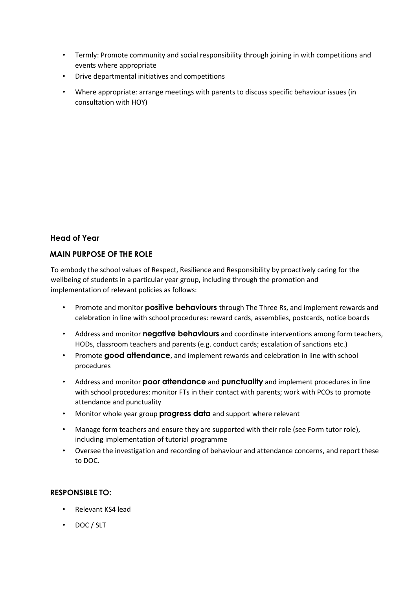- Termly: Promote community and social responsibility through joining in with competitions and events where appropriate
- Drive departmental initiatives and competitions
- Where appropriate: arrange meetings with parents to discuss specific behaviour issues (in consultation with HOY)

## **Head of Year**

#### **MAIN PURPOSE OF THE ROLE**

To embody the school values of Respect, Resilience and Responsibility by proactively caring for the wellbeing of students in a particular year group, including through the promotion and implementation of relevant policies as follows:

- Promote and monitor **positive behaviours** through The Three Rs, and implement rewards and celebration in line with school procedures: reward cards, assemblies, postcards, notice boards
- Address and monitor **negative behaviours** and coordinate interventions among form teachers, HODs, classroom teachers and parents (e.g. conduct cards; escalation of sanctions etc.)
- Promote **good attendance**, and implement rewards and celebration in line with school procedures
- Address and monitor **poor attendance** and **punctuality** and implement procedures in line with school procedures: monitor FTs in their contact with parents; work with PCOs to promote attendance and punctuality
- Monitor whole year group **progress data** and support where relevant
- Manage form teachers and ensure they are supported with their role (see Form tutor role), including implementation of tutorial programme
- Oversee the investigation and recording of behaviour and attendance concerns, and report these to DOC.

## **RESPONSIBLE TO:**

- Relevant KS4 lead
- DOC / SLT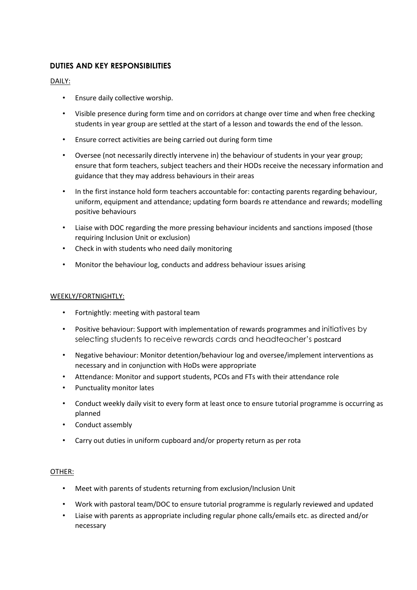## **DUTIES AND KEY RESPONSIBILITIES**

#### DAILY:

- Ensure daily collective worship.
- Visible presence during form time and on corridors at change over time and when free checking students in year group are settled at the start of a lesson and towards the end of the lesson.
- Ensure correct activities are being carried out during form time
- Oversee (not necessarily directly intervene in) the behaviour of students in your year group; ensure that form teachers, subject teachers and their HODs receive the necessary information and guidance that they may address behaviours in their areas
- In the first instance hold form teachers accountable for: contacting parents regarding behaviour, uniform, equipment and attendance; updating form boards re attendance and rewards; modelling positive behaviours
- Liaise with DOC regarding the more pressing behaviour incidents and sanctions imposed (those requiring Inclusion Unit or exclusion)
- Check in with students who need daily monitoring
- Monitor the behaviour log, conducts and address behaviour issues arising

#### WEEKLY/FORTNIGHTLY:

- Fortnightly: meeting with pastoral team
- Positive behaviour: Support with implementation of rewards programmes and initiatives by selecting students to receive rewards cards and headteacher's postcard
- Negative behaviour: Monitor detention/behaviour log and oversee/implement interventions as necessary and in conjunction with HoDs were appropriate
- Attendance: Monitor and support students, PCOs and FTs with their attendance role
- Punctuality monitor lates
- Conduct weekly daily visit to every form at least once to ensure tutorial programme is occurring as planned
- Conduct assembly
- Carry out duties in uniform cupboard and/or property return as per rota

#### OTHER:

- Meet with parents of students returning from exclusion/Inclusion Unit
- Work with pastoral team/DOC to ensure tutorial programme is regularly reviewed and updated
- Liaise with parents as appropriate including regular phone calls/emails etc. as directed and/or necessary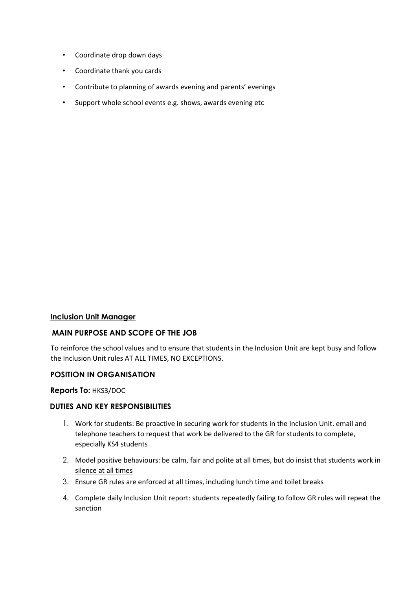- Coordinate drop down days
- Coordinate thank you cards
- Contribute to planning of awards evening and parents' evenings
- Support whole school events e.g. shows, awards evening etc

#### **Inclusion Unit Manager**

#### **MAIN PURPOSE AND SCOPE OF THE JOB**

To reinforce the school values and to ensure that students in the Inclusion Unit are kept busy and follow the Inclusion Unit rules AT ALL TIMES, NO EXCEPTIONS.

#### **POSITION IN ORGANISATION**

#### **Reports To:** HKS3/DOC

#### **DUTIES AND KEY RESPONSIBILITIES**

- 1. Work for students: Be proactive in securing work for students in the Inclusion Unit. email and telephone teachers to request that work be delivered to the GR for students to complete, especially KS4 students
- 2. Model positive behaviours: be calm, fair and polite at all times, but do insist that students work in silence at all times
- 3. Ensure GR rules are enforced at all times, including lunch time and toilet breaks
- 4. Complete daily Inclusion Unit report: students repeatedly failing to follow GR rules will repeat the sanction